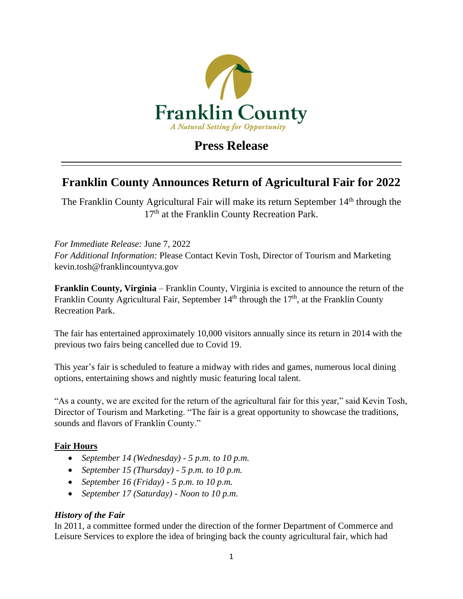

## **Press Release**

## **Franklin County Announces Return of Agricultural Fair for 2022**

The Franklin County Agricultural Fair will make its return September 14<sup>th</sup> through the 17<sup>th</sup> at the Franklin County Recreation Park.

*For Immediate Release:* June 7, 2022 *For Additional Information:* Please Contact Kevin Tosh, Director of Tourism and Marketing kevin.tosh@franklincountyva.gov

**Franklin County, Virginia** – Franklin County, Virginia is excited to announce the return of the Franklin County Agricultural Fair, September  $14<sup>th</sup>$  through the  $17<sup>th</sup>$ , at the Franklin County Recreation Park.

The fair has entertained approximately 10,000 visitors annually since its return in 2014 with the previous two fairs being cancelled due to Covid 19.

This year's fair is scheduled to feature a midway with rides and games, numerous local dining options, entertaining shows and nightly music featuring local talent.

"As a county, we are excited for the return of the agricultural fair for this year," said Kevin Tosh, Director of Tourism and Marketing. "The fair is a great opportunity to showcase the traditions, sounds and flavors of Franklin County."

## **Fair Hours**

- *September 14 (Wednesday) - 5 p.m. to 10 p.m.*
- *September 15 (Thursday) - 5 p.m. to 10 p.m.*
- *September 16 (Friday) - 5 p.m. to 10 p.m.*
- *September 17 (Saturday) - Noon to 10 p.m.*

## *History of the Fair*

In 2011, a committee formed under the direction of the former Department of Commerce and Leisure Services to explore the idea of bringing back the county agricultural fair, which had